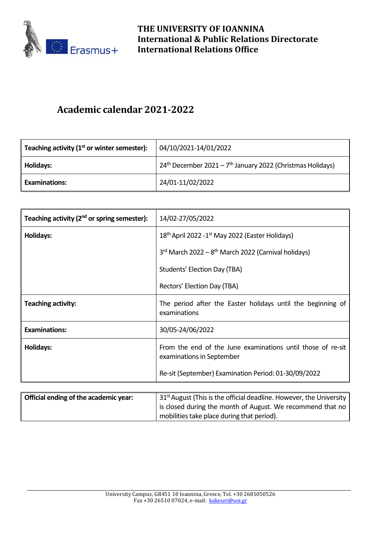

## **Academic calendar 2021-2022**

| Teaching activity $(1st$ or winter semester): | 04/10/2021-14/01/2022                                                    |
|-----------------------------------------------|--------------------------------------------------------------------------|
| <b>Holidays:</b>                              | $24th$ December 2021 – 7 <sup>th</sup> January 2022 (Christmas Holidays) |
| <b>Examinations:</b>                          | 24/01-11/02/2022                                                         |

| Teaching activity (2 <sup>nd</sup> or spring semester): | 14/02-27/05/2022                                                                         |
|---------------------------------------------------------|------------------------------------------------------------------------------------------|
| <b>Holidays:</b>                                        | 18 <sup>th</sup> April 2022 -1 <sup>st</sup> May 2022 (Easter Holidays)                  |
|                                                         | $3rd$ March 2022 – $8th$ March 2022 (Carnival holidays)                                  |
|                                                         | Students' Election Day (TBA)                                                             |
|                                                         | Rectors' Election Day (TBA)                                                              |
| <b>Teaching activity:</b>                               | The period after the Easter holidays until the beginning of<br>examinations              |
| <b>Examinations:</b>                                    | 30/05-24/06/2022                                                                         |
| Holidays:                                               | From the end of the June examinations until those of re-sit<br>examinations in September |
|                                                         | Re-sit (September) Examination Period: 01-30/09/2022                                     |

| Official ending of the academic year: | 31 <sup>st</sup> August (This is the official deadline. However, the University |
|---------------------------------------|---------------------------------------------------------------------------------|
|                                       | is closed during the month of August. We recommend that no                      |
|                                       | mobilities take place during that period).                                      |